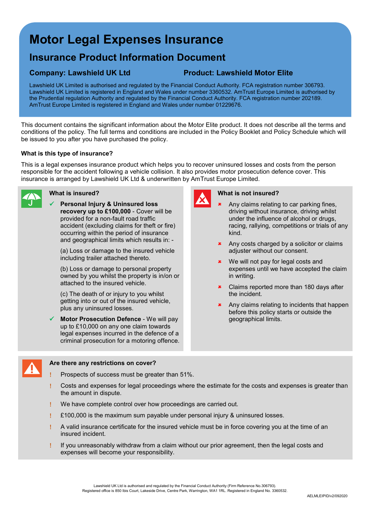# **Motor Legal Expenses Insurance**

## **Insurance Product Information Document**

### **Company: Lawshield UK Ltd Product: Lawshield Motor Elite**

Lawshield UK Limited is authorised and regulated by the Financial Conduct Authority. FCA registration number 306793. Lawshield UK Limited is registered in England and Wales under number 3360532. AmTrust Europe Limited is authorised by the Prudential regulation Authority and regulated by the Financial Conduct Authority. FCA registration number 202189. AmTrust Europe Limited is registered in England and Wales under number 01229676.

This document contains the significant information about the Motor Elite product. It does not describe all the terms and conditions of the policy. The full terms and conditions are included in the Policy Booklet and Policy Schedule which will be issued to you after you have purchased the policy.

#### **What is this type of insurance?**

This is a legal expenses insurance product which helps you to recover uninsured losses and costs from the person responsible for the accident following a vehicle collision. It also provides motor prosecution defence cover. This insurance is arranged by Lawshield UK Ltd & underwritten by AmTrust Europe Limited.



#### **What is insured?**

 **Personal Injury & Uninsured loss recovery up to £100,000** - Cover will be provided for a non-fault road traffic accident (excluding claims for theft or fire) occurring within the period of insurance and geographical limits which results in: -

(a) Loss or damage to the insured vehicle including trailer attached thereto.

(b) Loss or damage to personal property owned by you whilst the property is in/on or attached to the insured vehicle.

(c) The death of or injury to you whilst getting into or out of the insured vehicle, plus any uninsured losses.

 **Motor Prosecution Defence** - We will pay up to £10,000 on any one claim towards legal expenses incurred in the defence of a criminal prosecution for a motoring offence.



#### **What is not insured?**

- Any claims relating to car parking fines, driving without insurance, driving whilst under the influence of alcohol or drugs, racing, rallying, competitions or trials of any kind.
	- Any costs charged by a solicitor or claims adiuster without our consent.
	- **\*** We will not pay for legal costs and expenses until we have accepted the claim in writing.
- Claims reported more than 180 days after the incident.
- **\*** Any claims relating to incidents that happen before this policy starts or outside the geographical limits.



#### **Are there any restrictions on cover?**

- Prospects of success must be greater than 51%.
- Costs and expenses for legal proceedings where the estimate for the costs and expenses is greater than the amount in dispute.
- We have complete control over how proceedings are carried out.
- $£100,000$  is the maximum sum payable under personal injury & uninsured losses.
- ! A valid insurance certificate for the insured vehicle must be in force covering you at the time of an insured incident.
- If you unreasonably withdraw from a claim without our prior agreement, then the legal costs and expenses will become your responsibility.